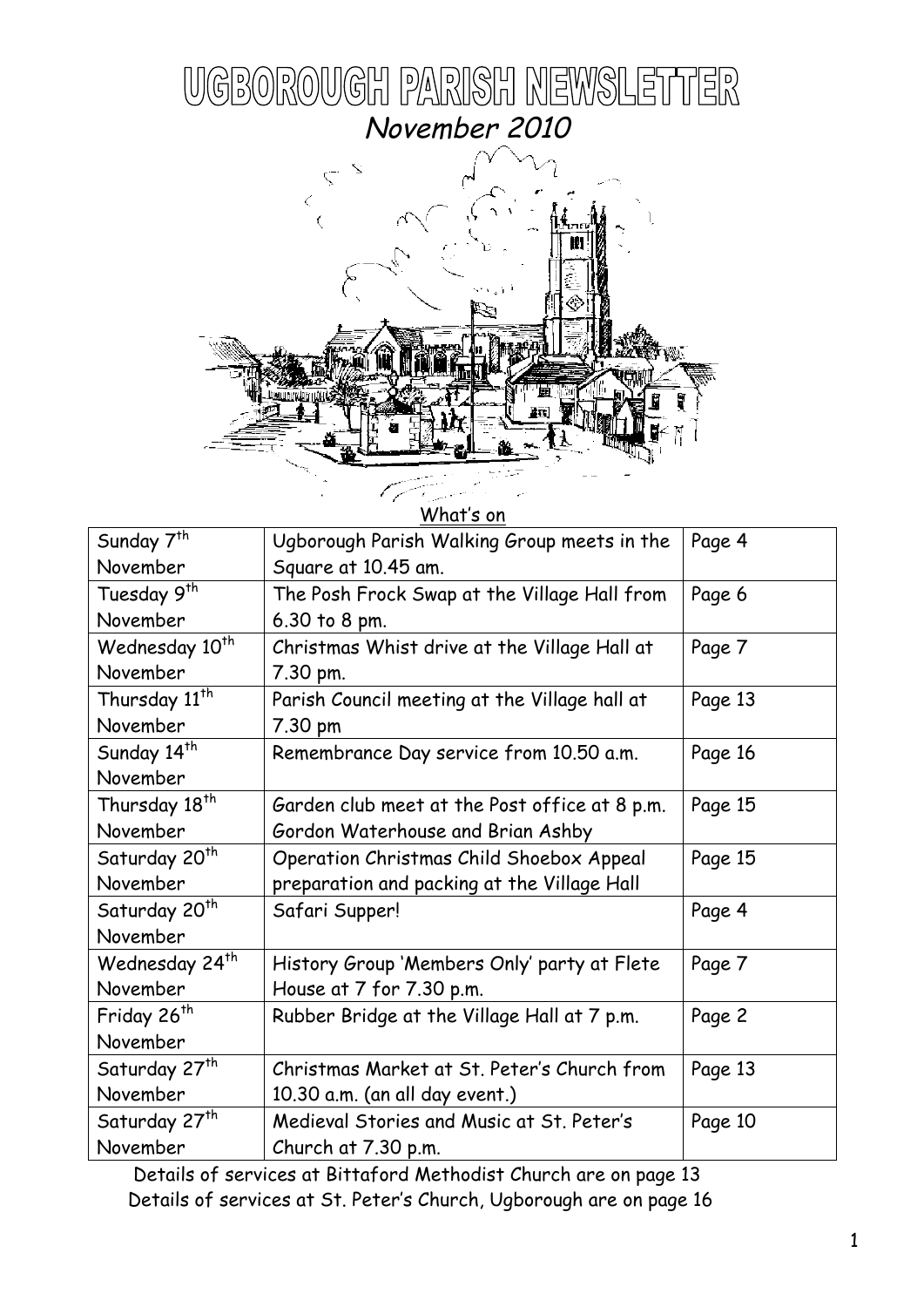



| What's on                  |                                               |         |
|----------------------------|-----------------------------------------------|---------|
| Sunday 7 <sup>th</sup>     | Ugborough Parish Walking Group meets in the   | Page 4  |
| November                   | Square at 10.45 am.                           |         |
| Tuesday 9 <sup>th</sup>    | The Posh Frock Swap at the Village Hall from  | Page 6  |
| November                   | 6.30 to 8 pm.                                 |         |
| Wednesday 10 <sup>th</sup> | Christmas Whist drive at the Village Hall at  | Page 7  |
| November                   | 7.30 pm.                                      |         |
| Thursday 11 <sup>th</sup>  | Parish Council meeting at the Village hall at | Page 13 |
| November                   | 7.30 pm                                       |         |
| Sunday 14 <sup>th</sup>    | Remembrance Day service from 10.50 a.m.       | Page 16 |
| November                   |                                               |         |
| Thursday 18 <sup>th</sup>  | Garden club meet at the Post office at 8 p.m. | Page 15 |
| November                   | Gordon Waterhouse and Brian Ashby             |         |
| Saturday 20 <sup>th</sup>  | Operation Christmas Child Shoebox Appeal      | Page 15 |
| November                   | preparation and packing at the Village Hall   |         |
| Saturday 20 <sup>th</sup>  | Safari Supper!                                | Page 4  |
| November                   |                                               |         |
| Wednesday 24 <sup>th</sup> | History Group 'Members Only' party at Flete   | Page 7  |
| November                   | House at 7 for 7.30 p.m.                      |         |
| Friday 26 <sup>th</sup>    | Rubber Bridge at the Village Hall at 7 p.m.   | Page 2  |
| November                   |                                               |         |
| Saturday 27 <sup>th</sup>  | Christmas Market at St. Peter's Church from   | Page 13 |
| November                   | 10.30 a.m. (an all day event.)                |         |
| Saturday 27 <sup>th</sup>  | Medieval Stories and Music at St. Peter's     | Page 10 |
| November                   | Church at 7.30 p.m.                           |         |

 Details of services at Bittaford Methodist Church are on page 13 Details of services at St. Peter's Church, Ugborough are on page 16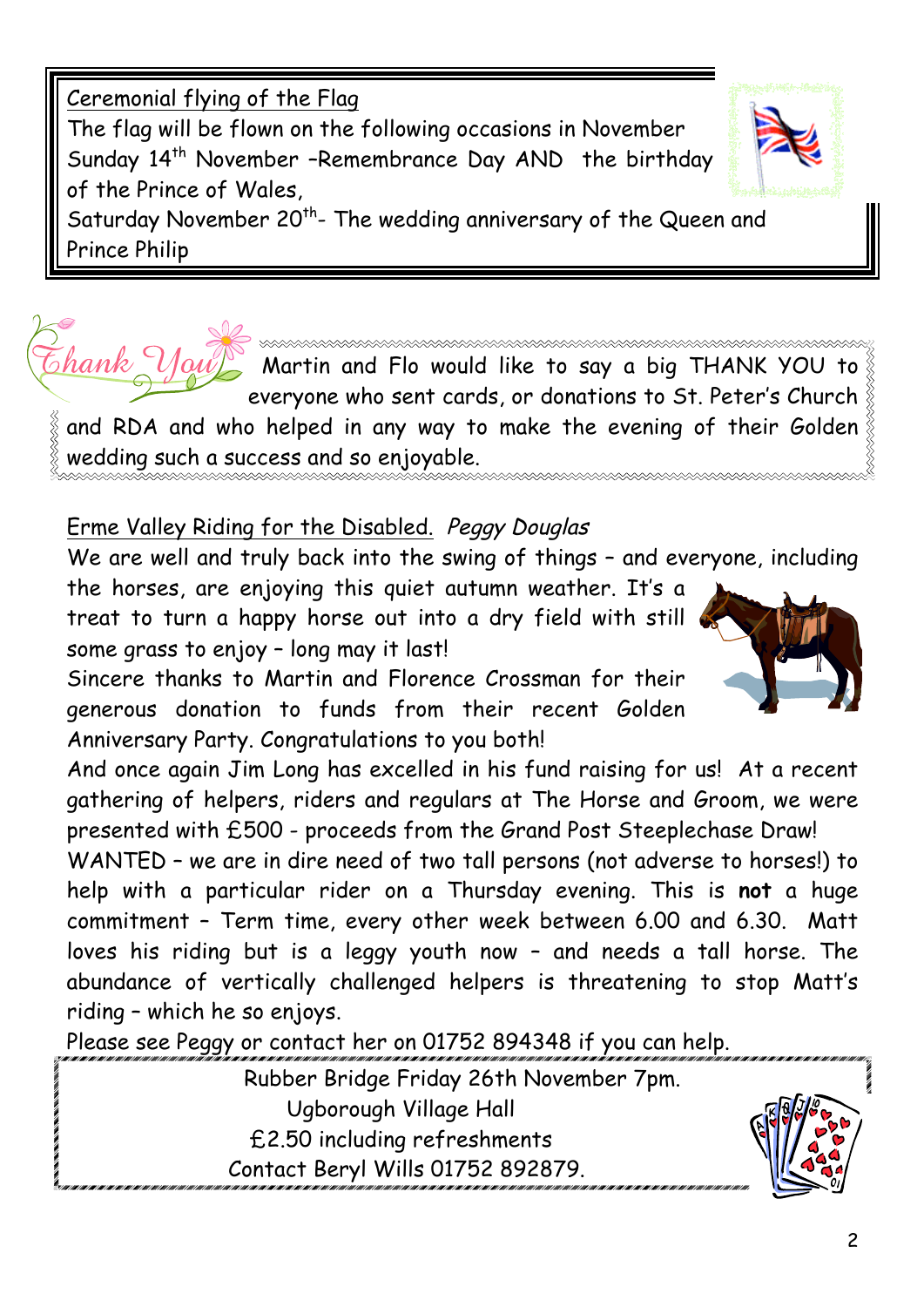Ceremonial flying of the Flag The flag will be flown on the following occasions in November Sunday 14<sup>th</sup> November -Remembrance Day AND the birthday of the Prince of Wales, Saturday November 20<sup>th</sup>- The wedding anniversary of the Queen and Prince Philip

> Martin and Flo would like to say a big THANK YOU to everyone who sent cards, or donations to St. Peter's Church

and RDA and who helped in any way to make the evening of their Golden  $\frac{8}{3}$ wedding such a success and so enjoyable.

# Erme Valley Riding for the Disabled. Peggy Douglas

hank

We are well and truly back into the swing of things – and everyone, including

the horses, are enjoying this quiet autumn weather. It's a treat to turn a happy horse out into a dry field with still some grass to enjoy – long may it last!

Sincere thanks to Martin and Florence Crossman for their generous donation to funds from their recent Golden Anniversary Party. Congratulations to you both!

And once again Jim Long has excelled in his fund raising for us! At a recent gathering of helpers, riders and regulars at The Horse and Groom, we were presented with £500 - proceeds from the Grand Post Steeplechase Draw!

WANTED – we are in dire need of two tall persons (not adverse to horses!) to help with a particular rider on a Thursday evening. This is **not** a huge commitment – Term time, every other week between 6.00 and 6.30. Matt loves his riding but is a leggy youth now – and needs a tall horse. The abundance of vertically challenged helpers is threatening to stop Matt's riding – which he so enjoys.

Please see Peggy or contact her on 01752 894348 if you can help.

Rubber Bridge Friday 26th November 7pm. Ugborough Village Hall £2.50 including refreshments Contact Beryl Wills 01752 892879.



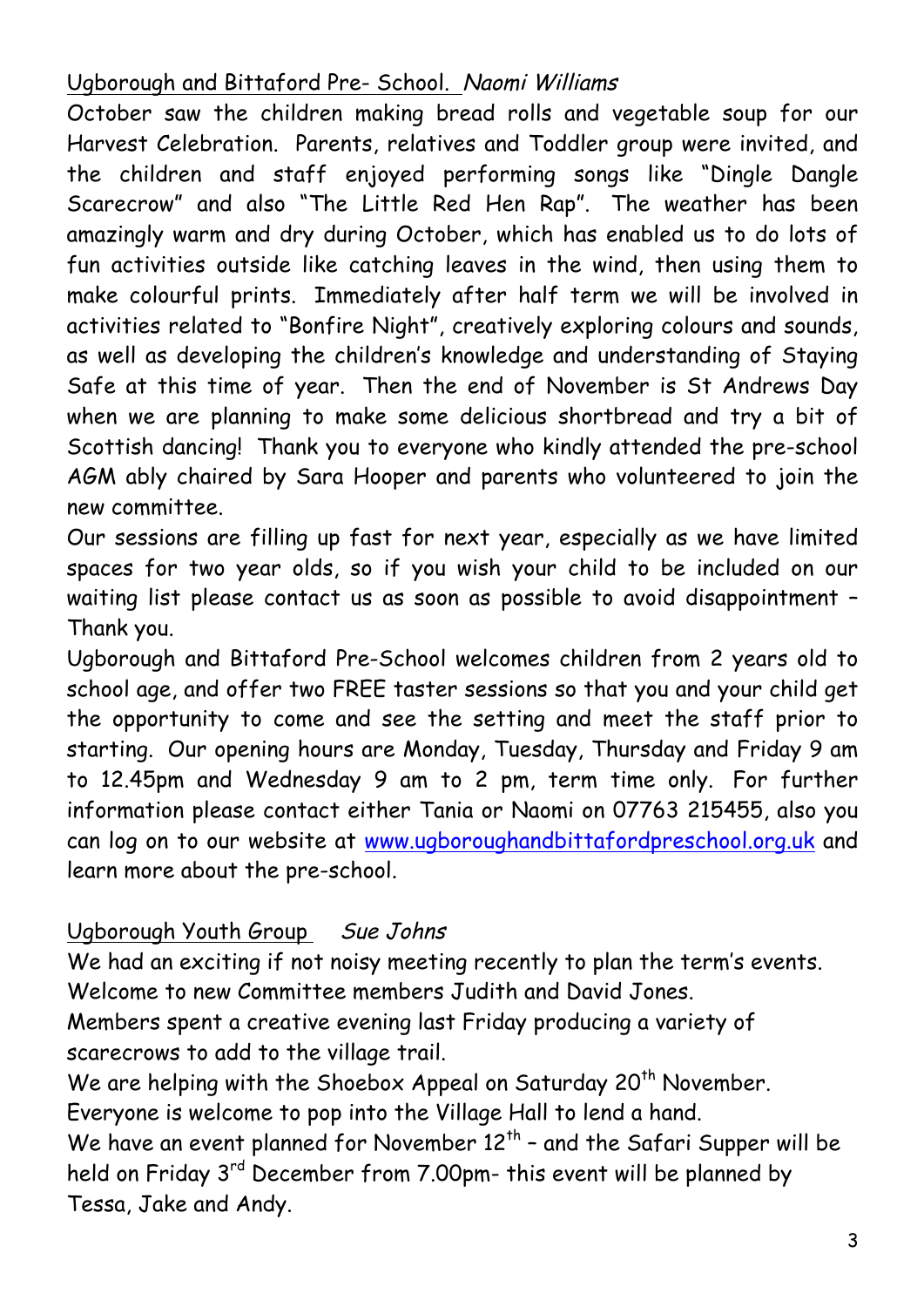## Ugborough and Bittaford Pre- School. Naomi Williams

October saw the children making bread rolls and vegetable soup for our Harvest Celebration. Parents, relatives and Toddler group were invited, and the children and staff enjoyed performing songs like "Dingle Dangle Scarecrow" and also "The Little Red Hen Rap". The weather has been amazingly warm and dry during October, which has enabled us to do lots of fun activities outside like catching leaves in the wind, then using them to make colourful prints. Immediately after half term we will be involved in activities related to "Bonfire Night", creatively exploring colours and sounds, as well as developing the children's knowledge and understanding of Staying Safe at this time of year. Then the end of November is St Andrews Day when we are planning to make some delicious shortbread and try a bit of Scottish dancing! Thank you to everyone who kindly attended the pre-school AGM ably chaired by Sara Hooper and parents who volunteered to join the new committee.

Our sessions are filling up fast for next year, especially as we have limited spaces for two year olds, so if you wish your child to be included on our waiting list please contact us as soon as possible to avoid disappointment – Thank you.

Ugborough and Bittaford Pre-School welcomes children from 2 years old to school age, and offer two FREE taster sessions so that you and your child get the opportunity to come and see the setting and meet the staff prior to starting. Our opening hours are Monday, Tuesday, Thursday and Friday 9 am to 12.45pm and Wednesday 9 am to 2 pm, term time only. For further information please contact either Tania or Naomi on 07763 215455, also you can log on to our website at www.ugboroughandbittafordpreschool.org.uk and learn more about the pre-school.

## Ugborough Youth Group Sue Johns

We had an exciting if not noisy meeting recently to plan the term's events. Welcome to new Committee members Judith and David Jones.

Members spent a creative evening last Friday producing a variety of scarecrows to add to the village trail.

We are helping with the Shoebox Appeal on Saturday 20<sup>th</sup> November.

Everyone is welcome to pop into the Village Hall to lend a hand.

We have an event planned for November  $12<sup>th</sup>$  - and the Safari Supper will be held on Friday 3<sup>rd</sup> December from 7.00pm- this event will be planned by Tessa, Jake and Andy.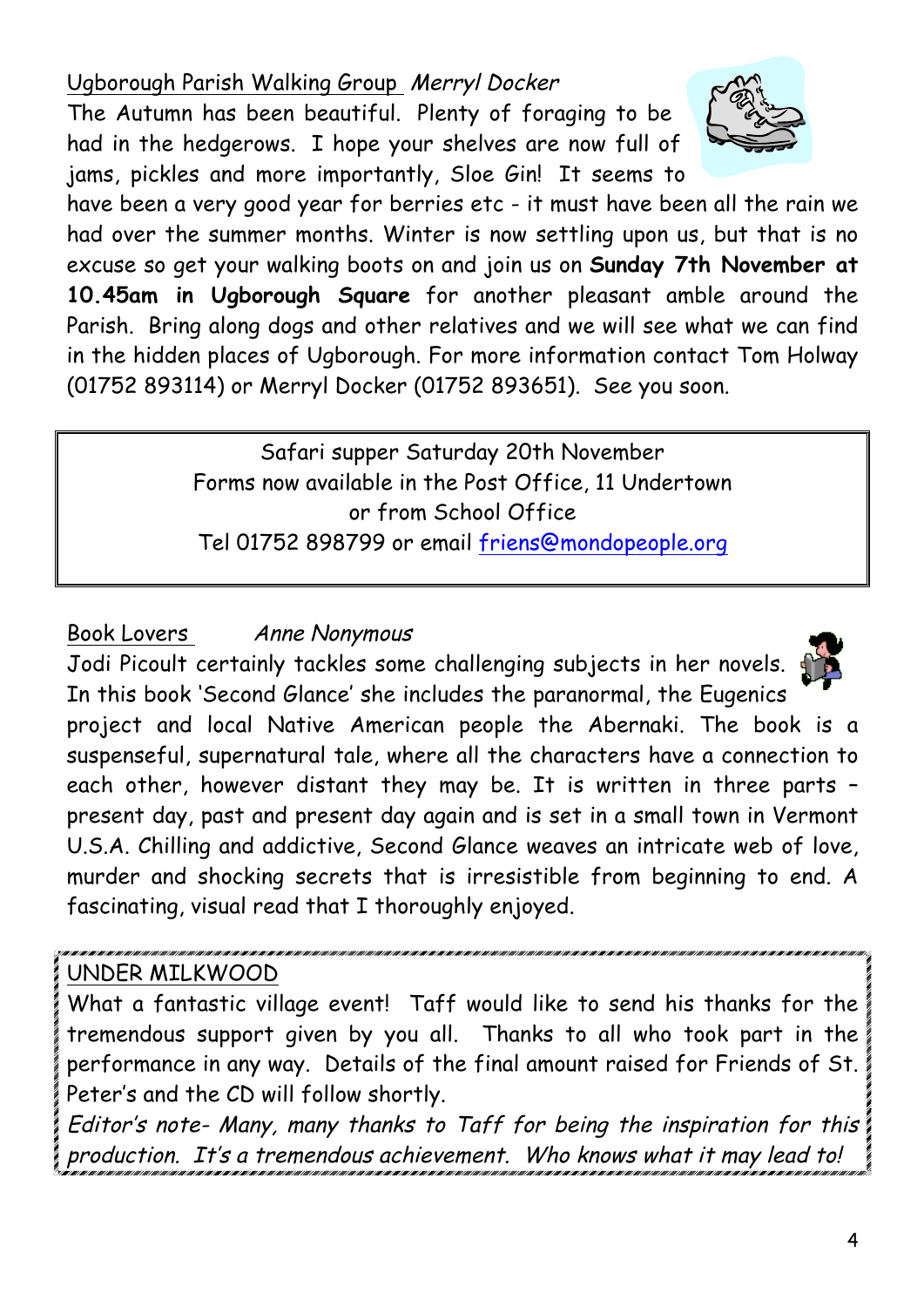Ugborough Parish Walking Group Merryl Docker

The Autumn has been beautiful. Plenty of foraging to be had in the hedgerows. I hope your shelves are now full of jams, pickles and more importantly, Sloe Gin! It seems to



have been a very good year for berries etc - it must have been all the rain we had over the summer months. Winter is now settling upon us, but that is no excuse so get your walking boots on and join us on **Sunday 7th November at 10.45am in Ugborough Square** for another pleasant amble around the Parish. Bring along dogs and other relatives and we will see what we can find in the hidden places of Ugborough. For more information contact Tom Holway (01752 893114) or Merryl Docker (01752 893651). See you soon.

> Safari supper Saturday 20th November Forms now available in the Post Office, 11 Undertown or from School Office Tel 01752 898799 or email friens@mondopeople.org

## Book Lovers Anne Nonymous

Jodi Picoult certainly tackles some challenging subjects in her novels. In this book 'Second Glance' she includes the paranormal, the Eugenics



project and local Native American people the Abernaki. The book is a suspenseful, supernatural tale, where all the characters have a connection to each other, however distant they may be. It is written in three parts – present day, past and present day again and is set in a small town in Vermont U.S.A. Chilling and addictive, Second Glance weaves an intricate web of love, murder and shocking secrets that is irresistible from beginning to end. A fascinating, visual read that I thoroughly enjoyed.

# UNDER MILKWOOD

What a fantastic village event! Taff would like to send his thanks for the tremendous support given by you all. Thanks to all who took part in the performance in any way. Details of the final amount raised for Friends of St. Peter's and the CD will follow shortly.

Editor's note- Many, many thanks to Taff for being the inspiration for this production. It's a tremendous achievement. Who knows what it may lead to!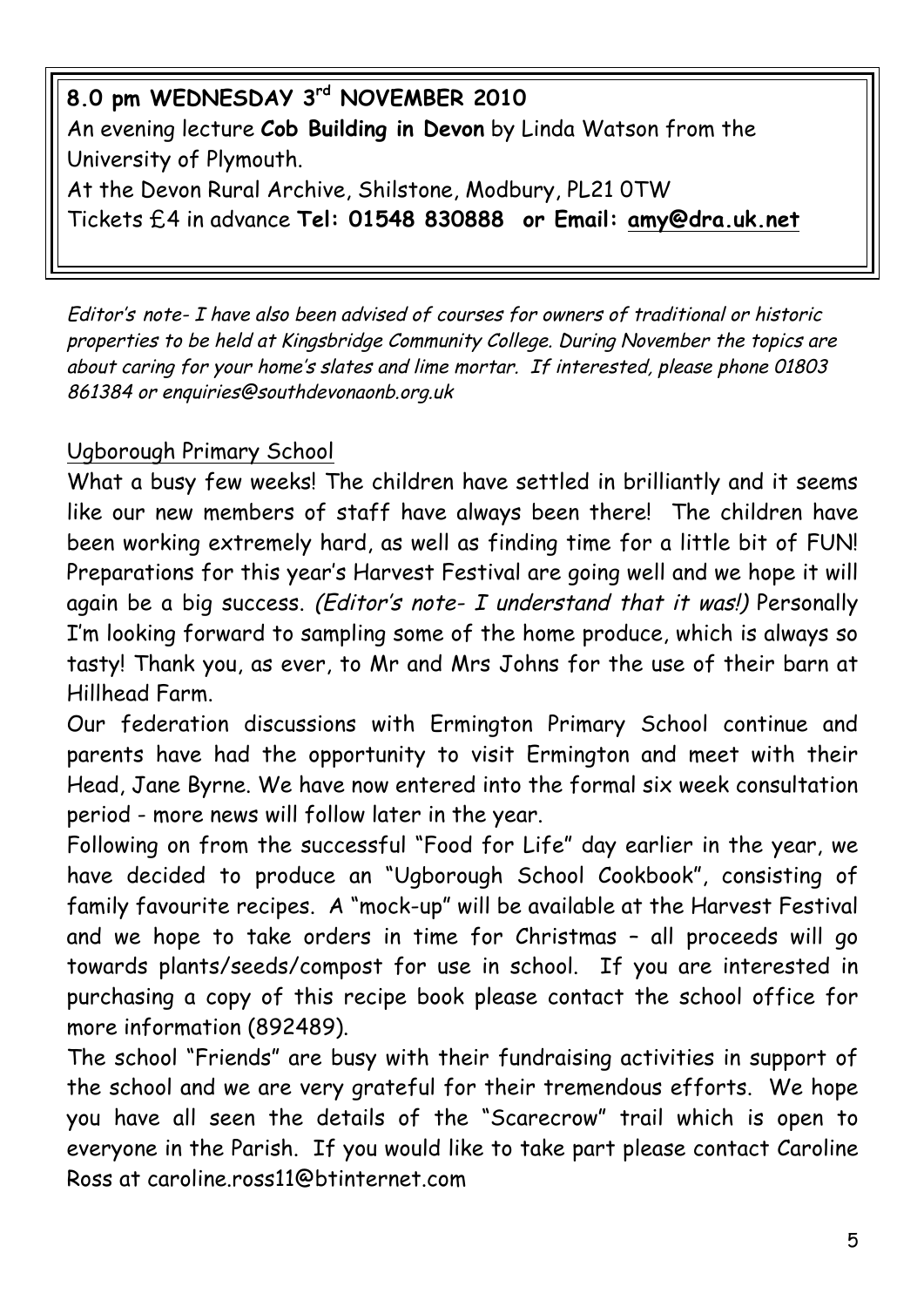**8.0 pm WEDNESDAY 3rd NOVEMBER 2010** An evening lecture **Cob Building in Devon** by Linda Watson from the University of Plymouth.

At the Devon Rural Archive, Shilstone, Modbury, PL21 0TW Tickets £4 in advance **Tel: 01548 830888 or Email: amy@dra.uk.net**

Editor's note- I have also been advised of courses for owners of traditional or historic properties to be held at Kingsbridge Community College. During November the topics are about caring for your home's slates and lime mortar. If interested, please phone 01803 861384 or enquiries@southdevonaonb.org.uk

## Ugborough Primary School

What a busy few weeks! The children have settled in brilliantly and it seems like our new members of staff have always been there! The children have been working extremely hard, as well as finding time for a little bit of FUN! Preparations for this year's Harvest Festival are going well and we hope it will again be a big success. (Editor's note- I understand that it was!) Personally I'm looking forward to sampling some of the home produce, which is always so tasty! Thank you, as ever, to Mr and Mrs Johns for the use of their barn at Hillhead Farm.

Our federation discussions with Ermington Primary School continue and parents have had the opportunity to visit Ermington and meet with their Head, Jane Byrne. We have now entered into the formal six week consultation period - more news will follow later in the year.

Following on from the successful "Food for Life" day earlier in the year, we have decided to produce an "Ugborough School Cookbook", consisting of family favourite recipes. A "mock-up" will be available at the Harvest Festival and we hope to take orders in time for Christmas – all proceeds will go towards plants/seeds/compost for use in school. If you are interested in purchasing a copy of this recipe book please contact the school office for more information (892489).

The school "Friends" are busy with their fundraising activities in support of the school and we are very grateful for their tremendous efforts. We hope you have all seen the details of the "Scarecrow" trail which is open to everyone in the Parish. If you would like to take part please contact Caroline Ross at caroline.ross11@btinternet.com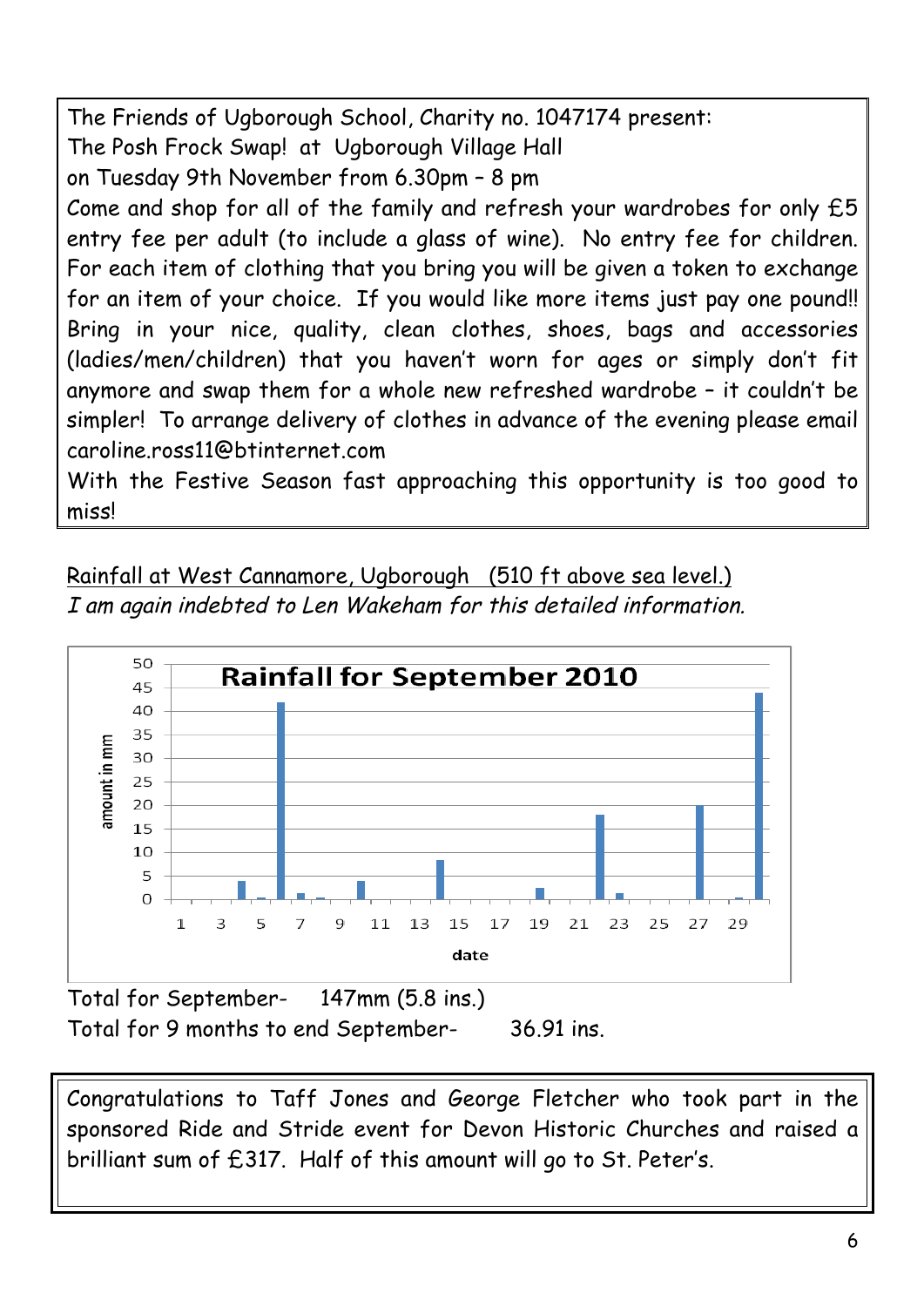The Friends of Ugborough School, Charity no. 1047174 present: The Posh Frock Swap! at Ugborough Village Hall on Tuesday 9th November from 6.30pm – 8 pm Come and shop for all of the family and refresh your wardrobes for only £5 entry fee per adult (to include a glass of wine). No entry fee for children. For each item of clothing that you bring you will be given a token to exchange for an item of your choice. If you would like more items just pay one pound!! Bring in your nice, quality, clean clothes, shoes, bags and accessories (ladies/men/children) that you haven't worn for ages or simply don't fit anymore and swap them for a whole new refreshed wardrobe – it couldn't be simpler! To arrange delivery of clothes in advance of the evening please email caroline.ross11@btinternet.com

With the Festive Season fast approaching this opportunity is too good to miss!

Rainfall at West Cannamore, Ugborough (510 ft above sea level.) I am again indebted to Len Wakeham for this detailed information.



Total for September- 147mm (5.8 ins.) Total for 9 months to end September- 36.91 ins.

Congratulations to Taff Jones and George Fletcher who took part in the sponsored Ride and Stride event for Devon Historic Churches and raised a brilliant sum of £317. Half of this amount will go to St. Peter's.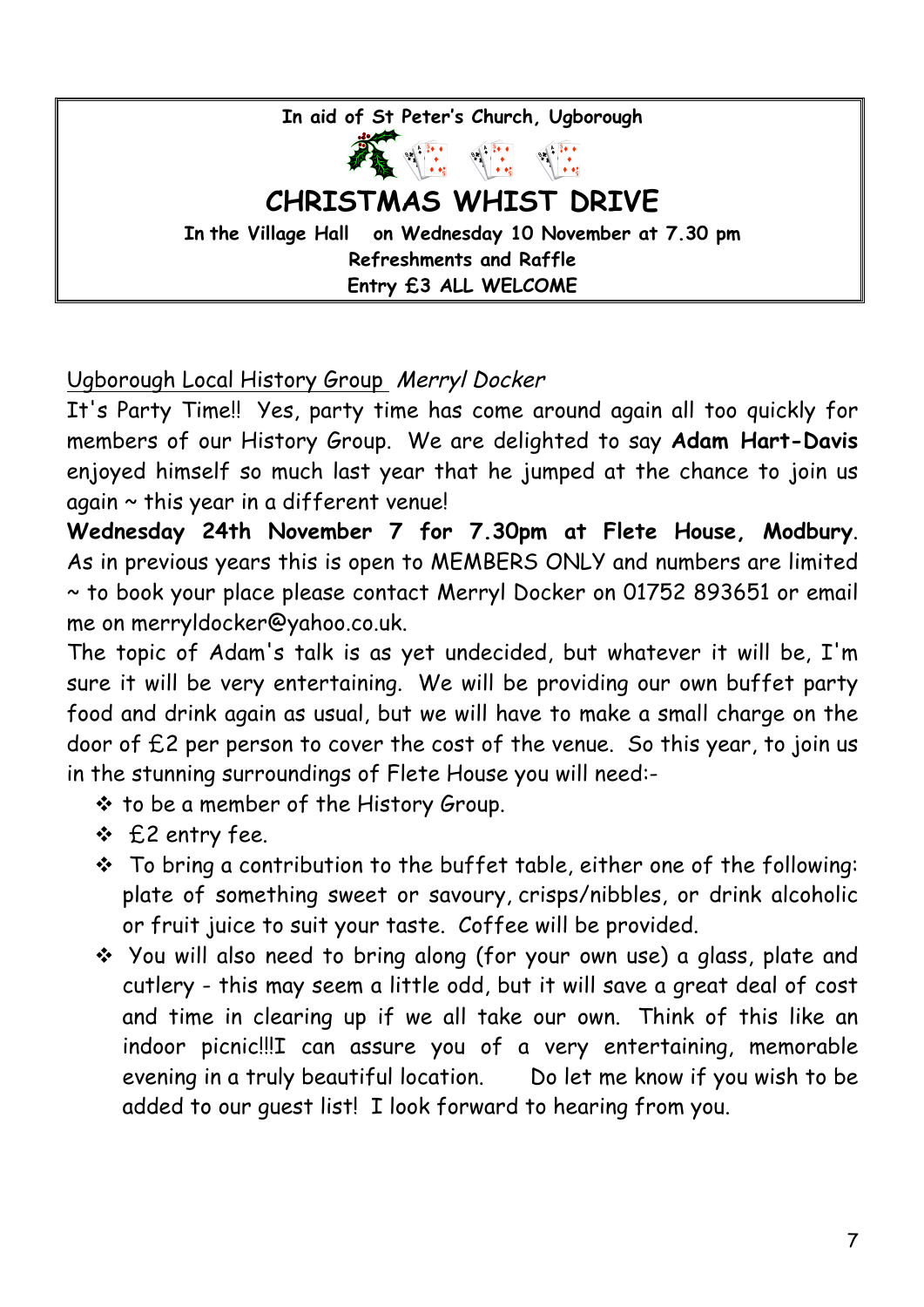**In aid of St Peter's Church, Ugborough CHRISTMAS WHIST DRIVE In the Village Hall on Wednesday 10 November at 7.30 pm Refreshments and Raffle Entry £3 ALL WELCOME**

Ugborough Local History Group Merryl Docker

It's Party Time!! Yes, party time has come around again all too quickly for members of our History Group. We are delighted to say **Adam Hart-Davis** enjoyed himself so much last year that he jumped at the chance to join us  $a$ gain  $\sim$  this year in a different venue!

**Wednesday 24th November 7 for 7.30pm at Flete House, Modbury**. As in previous years this is open to MEMBERS ONLY and numbers are limited ~ to book your place please contact Merryl Docker on 01752 893651 or email me on merryldocker@yahoo.co.uk.

The topic of Adam's talk is as yet undecided, but whatever it will be, I'm sure it will be very entertaining. We will be providing our own buffet party food and drink again as usual, but we will have to make a small charge on the door of £2 per person to cover the cost of the venue. So this year, to join us in the stunning surroundings of Flete House you will need:-

- **↓** to be a member of the History Group.
- v £2 entry fee.
- $\cdot$  To bring a contribution to the buffet table, either one of the following: plate of something sweet or savoury, crisps/nibbles, or drink alcoholic or fruit juice to suit your taste. Coffee will be provided.
- \* You will also need to bring along (for your own use) a glass, plate and cutlery - this may seem a little odd, but it will save a great deal of cost and time in clearing up if we all take our own. Think of this like an indoor picnic!!!I can assure you of a very entertaining, memorable evening in a truly beautiful location. Do let me know if you wish to be added to our guest list! I look forward to hearing from you.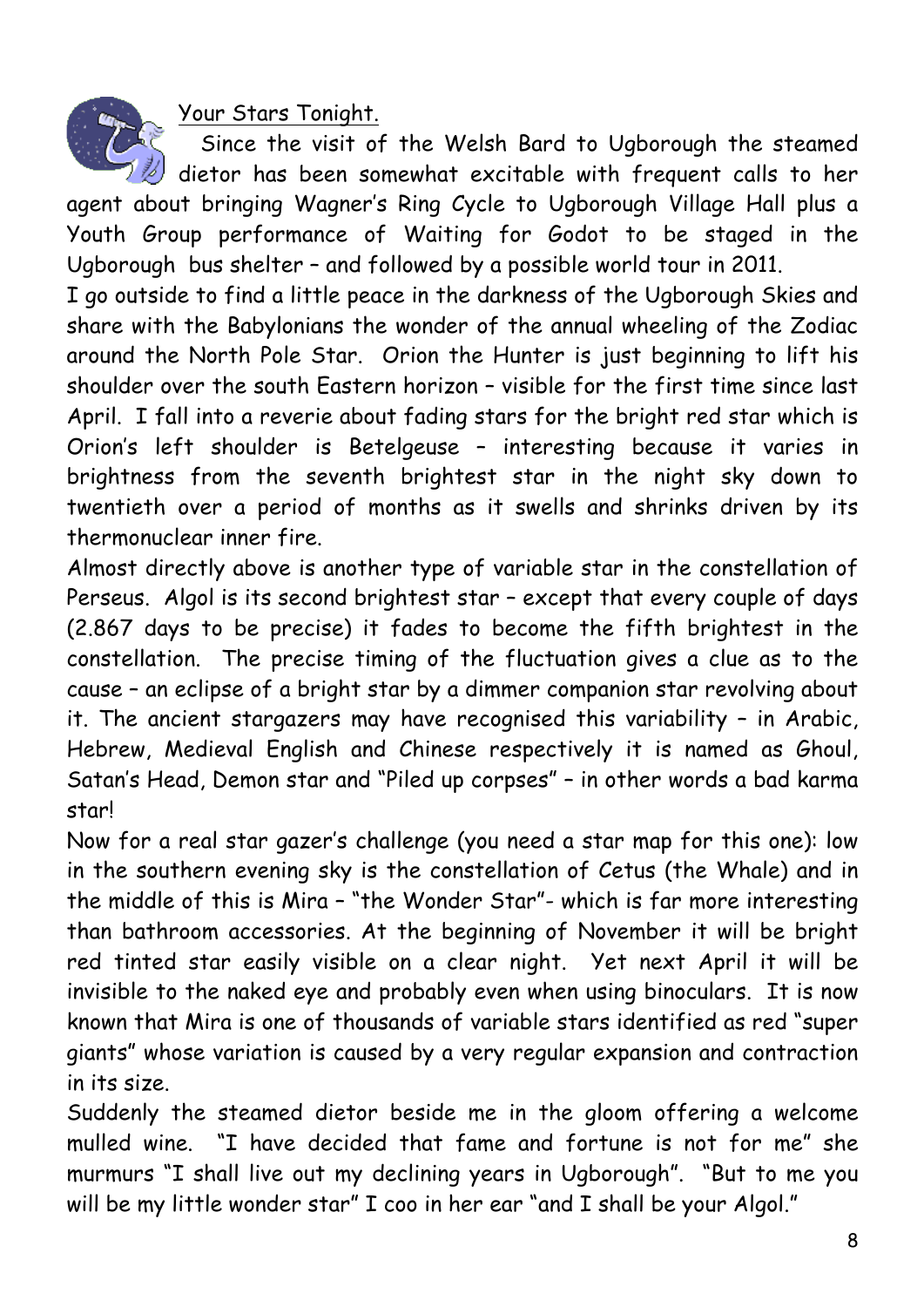Your Stars Tonight.

Since the visit of the Welsh Bard to Ugborough the steamed

 $\#$  dietor has been somewhat excitable with frequent calls to her agent about bringing Wagner's Ring Cycle to Ugborough Village Hall plus a Youth Group performance of Waiting for Godot to be staged in the Ugborough bus shelter – and followed by a possible world tour in 2011.

I go outside to find a little peace in the darkness of the Ugborough Skies and share with the Babylonians the wonder of the annual wheeling of the Zodiac around the North Pole Star. Orion the Hunter is just beginning to lift his shoulder over the south Eastern horizon – visible for the first time since last April. I fall into a reverie about fading stars for the bright red star which is Orion's left shoulder is Betelgeuse – interesting because it varies in brightness from the seventh brightest star in the night sky down to twentieth over a period of months as it swells and shrinks driven by its thermonuclear inner fire.

Almost directly above is another type of variable star in the constellation of Perseus. Algol is its second brightest star – except that every couple of days (2.867 days to be precise) it fades to become the fifth brightest in the constellation. The precise timing of the fluctuation gives a clue as to the cause – an eclipse of a bright star by a dimmer companion star revolving about it. The ancient stargazers may have recognised this variability – in Arabic, Hebrew, Medieval English and Chinese respectively it is named as Ghoul, Satan's Head, Demon star and "Piled up corpses" – in other words a bad karma star!

Now for a real star gazer's challenge (you need a star map for this one): low in the southern evening sky is the constellation of Cetus (the Whale) and in the middle of this is Mira – "the Wonder Star"- which is far more interesting than bathroom accessories. At the beginning of November it will be bright red tinted star easily visible on a clear night. Yet next April it will be invisible to the naked eye and probably even when using binoculars. It is now known that Mira is one of thousands of variable stars identified as red "super giants" whose variation is caused by a very regular expansion and contraction in its size.

Suddenly the steamed dietor beside me in the gloom offering a welcome mulled wine. "I have decided that fame and fortune is not for me" she murmurs "I shall live out my declining years in Ugborough". "But to me you will be my little wonder star" I coo in her ear "and I shall be your Algol."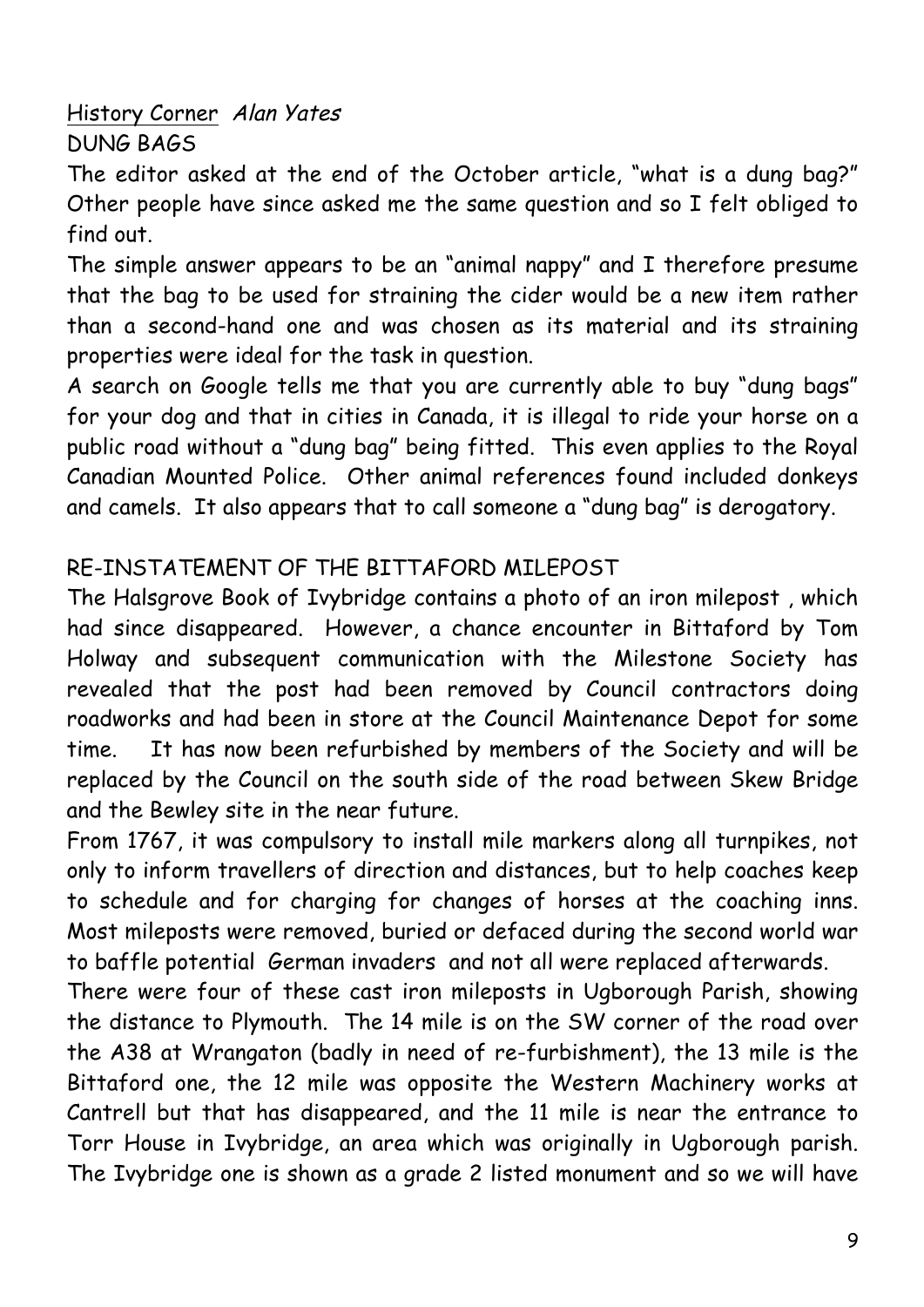History Corner Alan Yates DUNG BAGS

The editor asked at the end of the October article, "what is a dung bag?" Other people have since asked me the same question and so I felt obliged to find out.

The simple answer appears to be an "animal nappy" and I therefore presume that the bag to be used for straining the cider would be a new item rather than a second-hand one and was chosen as its material and its straining properties were ideal for the task in question.

A search on Google tells me that you are currently able to buy "dung bags" for your dog and that in cities in Canada, it is illegal to ride your horse on a public road without a "dung bag" being fitted. This even applies to the Royal Canadian Mounted Police. Other animal references found included donkeys and camels. It also appears that to call someone a "dung bag" is derogatory.

## RE-INSTATEMENT OF THE BITTAFORD MILEPOST

The Halsgrove Book of Ivybridge contains a photo of an iron milepost , which had since disappeared. However, a chance encounter in Bittaford by Tom Holway and subsequent communication with the Milestone Society has revealed that the post had been removed by Council contractors doing roadworks and had been in store at the Council Maintenance Depot for some time. It has now been refurbished by members of the Society and will be replaced by the Council on the south side of the road between Skew Bridge and the Bewley site in the near future.

From 1767, it was compulsory to install mile markers along all turnpikes, not only to inform travellers of direction and distances, but to help coaches keep to schedule and for charging for changes of horses at the coaching inns. Most mileposts were removed, buried or defaced during the second world war to baffle potential German invaders and not all were replaced afterwards.

There were four of these cast iron mileposts in Ugborough Parish, showing the distance to Plymouth. The 14 mile is on the SW corner of the road over the A38 at Wrangaton (badly in need of re-furbishment), the 13 mile is the Bittaford one, the 12 mile was opposite the Western Machinery works at Cantrell but that has disappeared, and the 11 mile is near the entrance to Torr House in Ivybridge, an area which was originally in Ugborough parish. The Ivybridge one is shown as a grade 2 listed monument and so we will have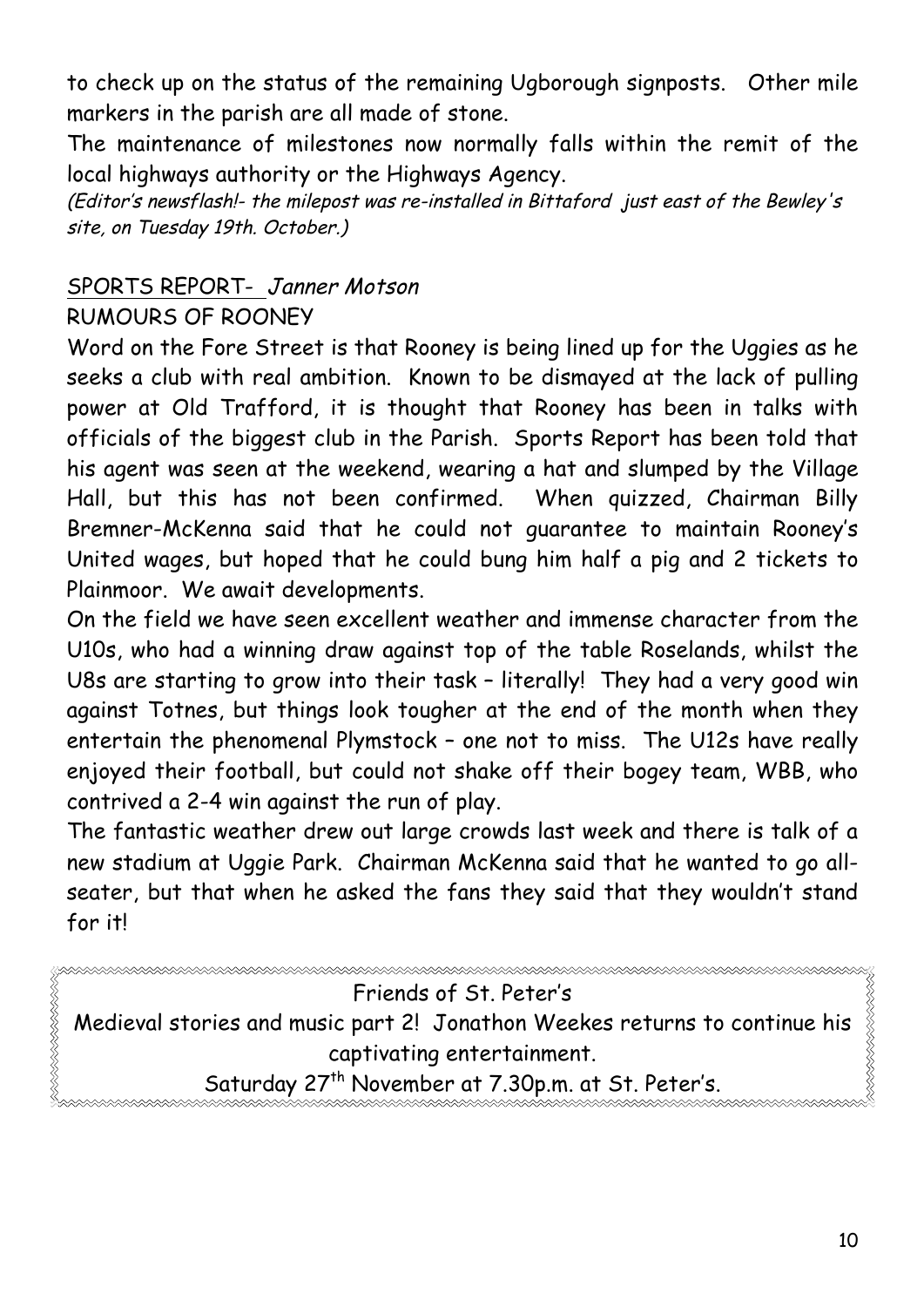to check up on the status of the remaining Ugborough signposts. Other mile markers in the parish are all made of stone.

The maintenance of milestones now normally falls within the remit of the local highways authority or the Highways Agency.

(Editor's newsflash!- the milepost was re-installed in Bittaford just east of the Bewley's site, on Tuesday 19th. October.)

### SPORTS REPORT- Janner Motson

#### RUMOURS OF ROONEY

Word on the Fore Street is that Rooney is being lined up for the Uggies as he seeks a club with real ambition. Known to be dismayed at the lack of pulling power at Old Trafford, it is thought that Rooney has been in talks with officials of the biggest club in the Parish. Sports Report has been told that his agent was seen at the weekend, wearing a hat and slumped by the Village Hall, but this has not been confirmed. When quizzed, Chairman Billy Bremner-McKenna said that he could not guarantee to maintain Rooney's United wages, but hoped that he could bung him half a pig and 2 tickets to Plainmoor. We await developments.

On the field we have seen excellent weather and immense character from the U10s, who had a winning draw against top of the table Roselands, whilst the U8s are starting to grow into their task – literally! They had a very good win against Totnes, but things look tougher at the end of the month when they entertain the phenomenal Plymstock – one not to miss. The U12s have really enjoyed their football, but could not shake off their bogey team, WBB, who contrived a 2-4 win against the run of play.

The fantastic weather drew out large crowds last week and there is talk of a new stadium at Uggie Park. Chairman McKenna said that he wanted to go allseater, but that when he asked the fans they said that they wouldn't stand for it!

| Friends of St. Peter's                                                                   |
|------------------------------------------------------------------------------------------|
| Medieval stories and music part 2! Jonathon Weekes returns to continue his $\frac{3}{8}$ |
| captivating entertainment.                                                               |
| Saturday 27 <sup>th</sup> November at 7.30p.m. at St. Peter's.                           |
|                                                                                          |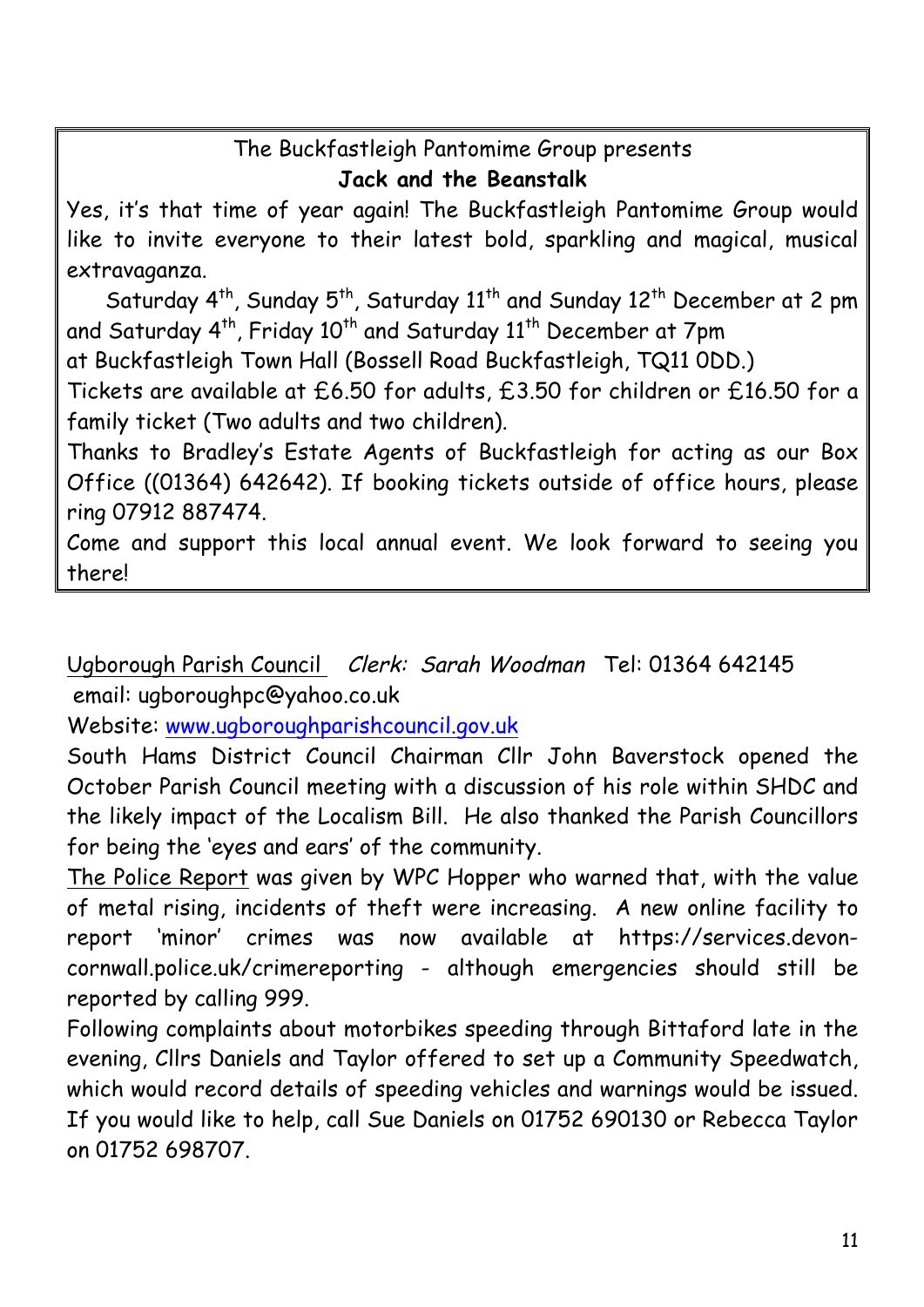## The Buckfastleigh Pantomime Group presents **Jack and the Beanstalk**

Yes, it's that time of year again! The Buckfastleigh Pantomime Group would like to invite everyone to their latest bold, sparkling and magical, musical extravaganza.

Saturday 4<sup>th</sup>, Sunday 5<sup>th</sup>, Saturday 11<sup>th</sup> and Sunday 12<sup>th</sup> December at 2 pm and Saturday  $4^{th}$ , Friday 10<sup>th</sup> and Saturday  $11^{th}$  December at 7pm

at Buckfastleigh Town Hall (Bossell Road Buckfastleigh, TQ11 0DD.)

Tickets are available at £6.50 for adults, £3.50 for children or £16.50 for a family ticket (Two adults and two children).

Thanks to Bradley's Estate Agents of Buckfastleigh for acting as our Box Office ((01364) 642642). If booking tickets outside of office hours, please ring 07912 887474.

Come and support this local annual event. We look forward to seeing you there!

Ugborough Parish Council Clerk: Sarah Woodman Tel: 01364 642145 email: ugboroughpc@yahoo.co.uk

Website: www.ugboroughparishcouncil.gov.uk

South Hams District Council Chairman Cllr John Baverstock opened the October Parish Council meeting with a discussion of his role within SHDC and the likely impact of the Localism Bill. He also thanked the Parish Councillors for being the 'eyes and ears' of the community.

The Police Report was given by WPC Hopper who warned that, with the value of metal rising, incidents of theft were increasing. A new online facility to report 'minor' crimes was now available at https://services.devoncornwall.police.uk/crimereporting - although emergencies should still be reported by calling 999.

Following complaints about motorbikes speeding through Bittaford late in the evening, Cllrs Daniels and Taylor offered to set up a Community Speedwatch, which would record details of speeding vehicles and warnings would be issued. If you would like to help, call Sue Daniels on 01752 690130 or Rebecca Taylor on 01752 698707.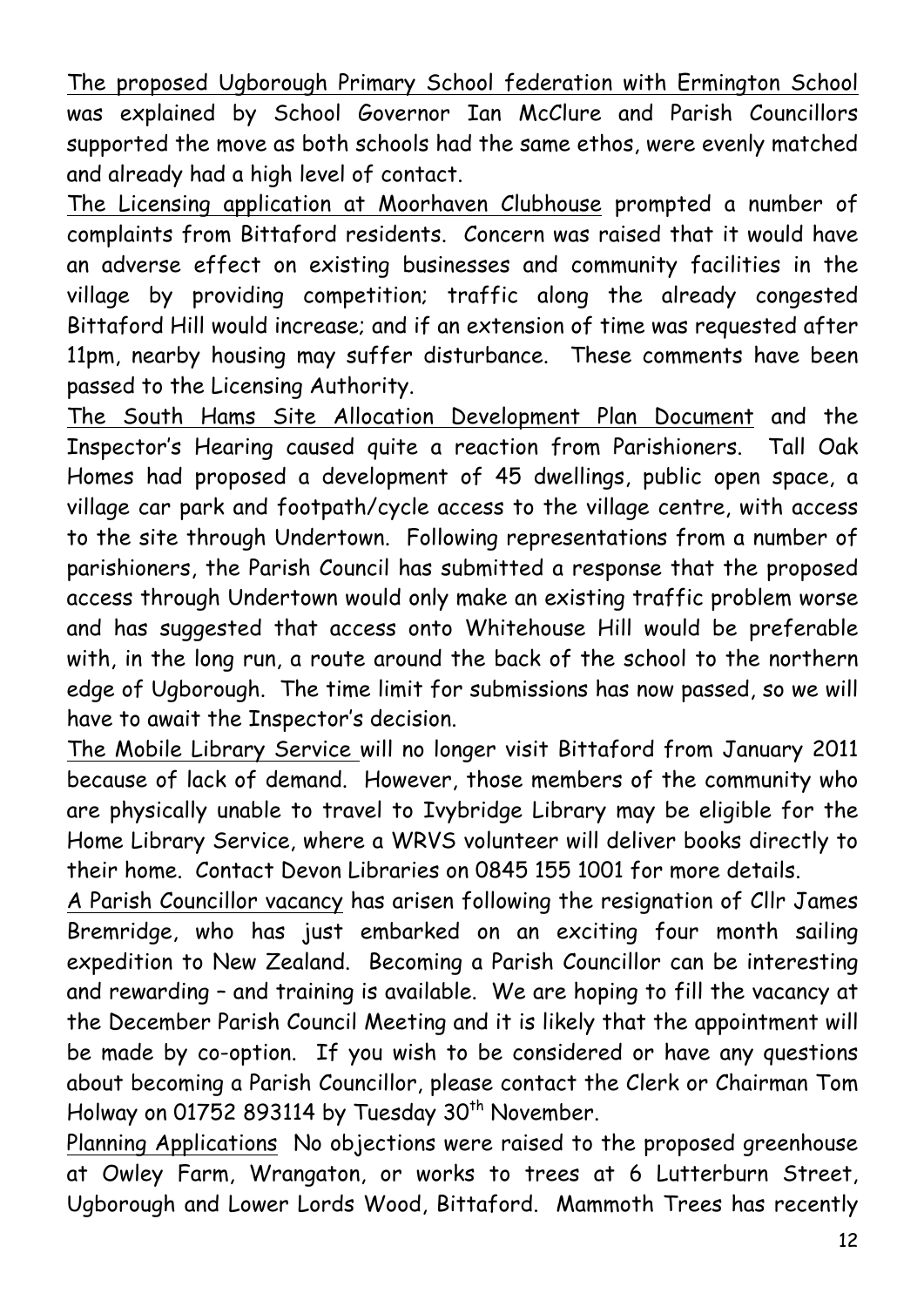The proposed Ugborough Primary School federation with Ermington School was explained by School Governor Ian McClure and Parish Councillors supported the move as both schools had the same ethos, were evenly matched and already had a high level of contact.

The Licensing application at Moorhaven Clubhouse prompted a number of complaints from Bittaford residents. Concern was raised that it would have an adverse effect on existing businesses and community facilities in the village by providing competition; traffic along the already congested Bittaford Hill would increase; and if an extension of time was requested after 11pm, nearby housing may suffer disturbance. These comments have been passed to the Licensing Authority.

The South Hams Site Allocation Development Plan Document and the Inspector's Hearing caused quite a reaction from Parishioners. Tall Oak Homes had proposed a development of 45 dwellings, public open space, a village car park and footpath/cycle access to the village centre, with access to the site through Undertown. Following representations from a number of parishioners, the Parish Council has submitted a response that the proposed access through Undertown would only make an existing traffic problem worse and has suggested that access onto Whitehouse Hill would be preferable with, in the long run, a route around the back of the school to the northern edge of Ugborough. The time limit for submissions has now passed, so we will have to await the Inspector's decision.

The Mobile Library Service will no longer visit Bittaford from January 2011 because of lack of demand. However, those members of the community who are physically unable to travel to Ivybridge Library may be eligible for the Home Library Service, where a WRVS volunteer will deliver books directly to their home. Contact Devon Libraries on 0845 155 1001 for more details.

A Parish Councillor vacancy has arisen following the resignation of Cllr James Bremridge, who has just embarked on an exciting four month sailing expedition to New Zealand. Becoming a Parish Councillor can be interesting and rewarding – and training is available. We are hoping to fill the vacancy at the December Parish Council Meeting and it is likely that the appointment will be made by co-option. If you wish to be considered or have any questions about becoming a Parish Councillor, please contact the Clerk or Chairman Tom Holway on 01752 893114 by Tuesday 30<sup>th</sup> November.

Planning Applications No objections were raised to the proposed greenhouse at Owley Farm, Wrangaton, or works to trees at 6 Lutterburn Street, Ugborough and Lower Lords Wood, Bittaford. Mammoth Trees has recently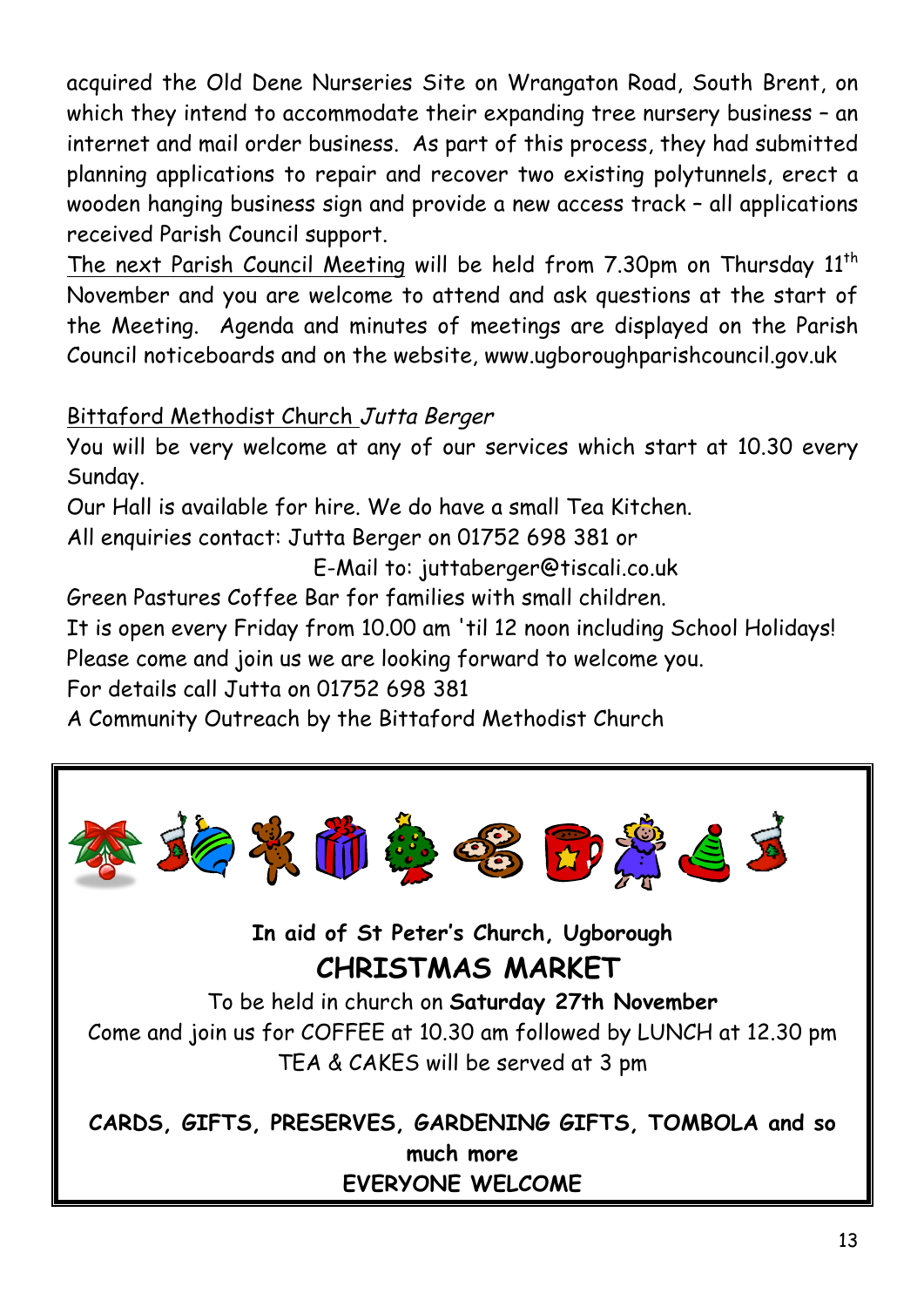acquired the Old Dene Nurseries Site on Wrangaton Road, South Brent, on which they intend to accommodate their expanding tree nursery business - an internet and mail order business. As part of this process, they had submitted planning applications to repair and recover two existing polytunnels, erect a wooden hanging business sign and provide a new access track – all applications received Parish Council support.

The next Parish Council Meeting will be held from 7.30pm on Thursday 11<sup>th</sup> November and you are welcome to attend and ask questions at the start of the Meeting. Agenda and minutes of meetings are displayed on the Parish Council noticeboards and on the website, www.ugboroughparishcouncil.gov.uk

## Bittaford Methodist Church Jutta Berger

You will be very welcome at any of our services which start at 10.30 every Sunday.

Our Hall is available for hire. We do have a small Tea Kitchen.

All enquiries contact: Jutta Berger on 01752 698 381 or

E-Mail to: juttaberger@tiscali.co.uk

Green Pastures Coffee Bar for families with small children.

It is open every Friday from 10.00 am 'til 12 noon including School Holidays! Please come and join us we are looking forward to welcome you.

For details call Jutta on 01752 698 381

A Community Outreach by the Bittaford Methodist Church



# **EVERYONE WELCOME**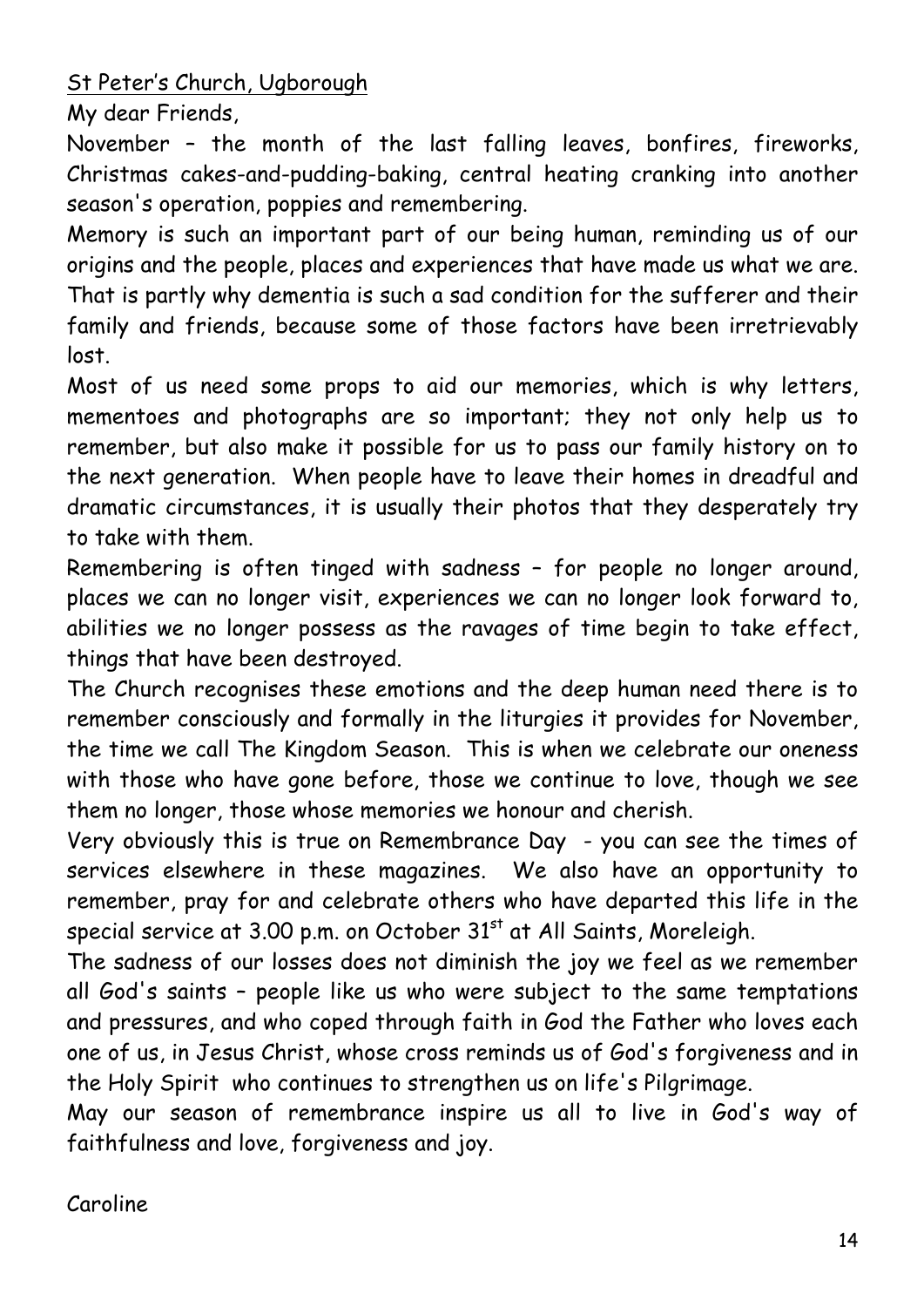St Peter's Church, Ugborough

My dear Friends,

November – the month of the last falling leaves, bonfires, fireworks, Christmas cakes-and-pudding-baking, central heating cranking into another season's operation, poppies and remembering.

Memory is such an important part of our being human, reminding us of our origins and the people, places and experiences that have made us what we are. That is partly why dementia is such a sad condition for the sufferer and their family and friends, because some of those factors have been irretrievably lost.

Most of us need some props to aid our memories, which is why letters, mementoes and photographs are so important; they not only help us to remember, but also make it possible for us to pass our family history on to the next generation. When people have to leave their homes in dreadful and dramatic circumstances, it is usually their photos that they desperately try to take with them.

Remembering is often tinged with sadness – for people no longer around, places we can no longer visit, experiences we can no longer look forward to, abilities we no longer possess as the ravages of time begin to take effect, things that have been destroyed.

The Church recognises these emotions and the deep human need there is to remember consciously and formally in the liturgies it provides for November, the time we call The Kingdom Season. This is when we celebrate our oneness with those who have gone before, those we continue to love, though we see them no longer, those whose memories we honour and cherish.

Very obviously this is true on Remembrance Day - you can see the times of services elsewhere in these magazines. We also have an opportunity to remember, pray for and celebrate others who have departed this life in the special service at 3.00 p.m. on October 31<sup>st</sup> at All Saints, Moreleigh.

The sadness of our losses does not diminish the joy we feel as we remember all God's saints – people like us who were subject to the same temptations and pressures, and who coped through faith in God the Father who loves each one of us, in Jesus Christ, whose cross reminds us of God's forgiveness and in the Holy Spirit who continues to strengthen us on life's Pilgrimage.

May our season of remembrance inspire us all to live in God's way of faithfulness and love, forgiveness and joy.

Caroline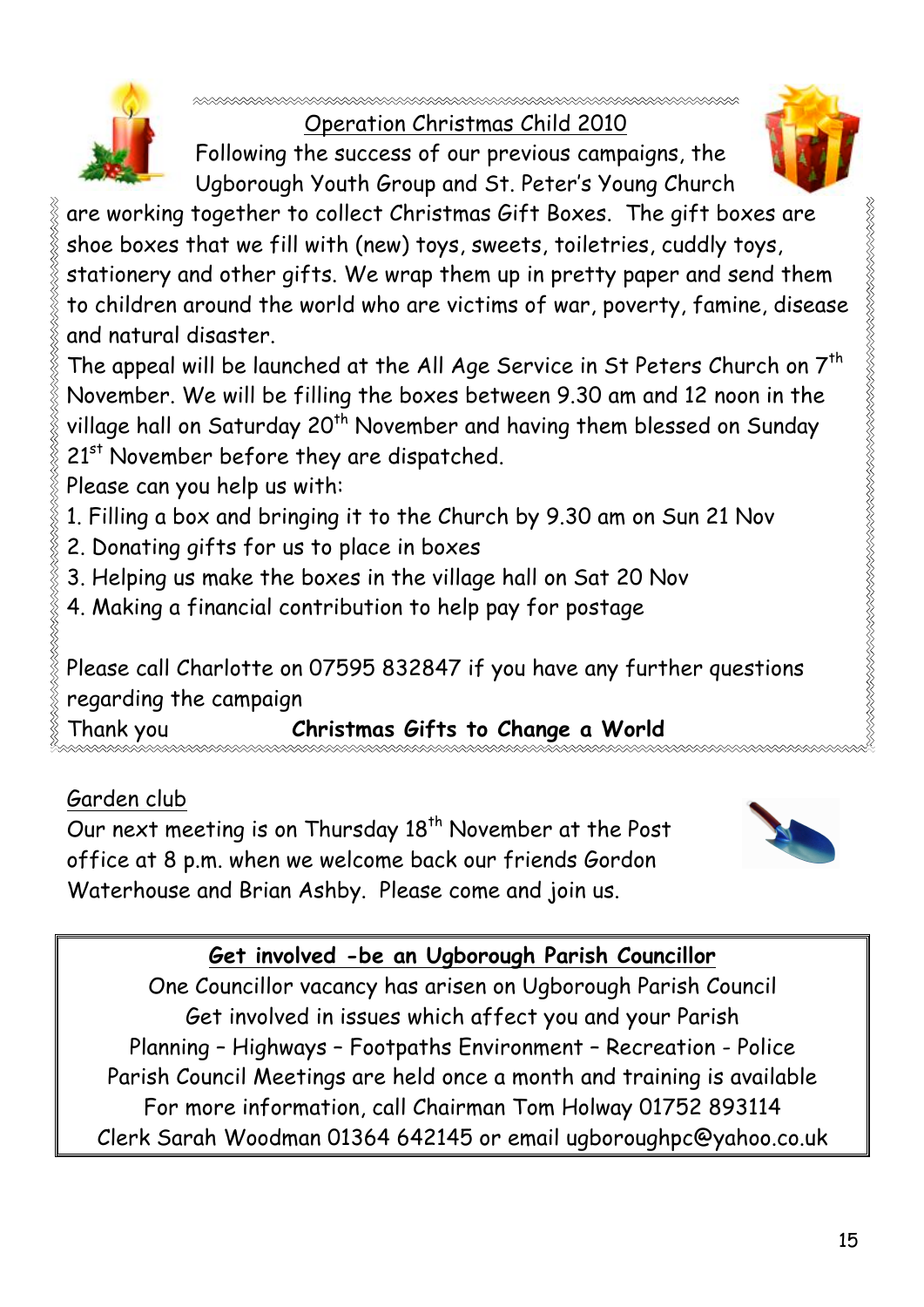

Operation Christmas Child 2010

Following the success of our previous campaigns, the Ugborough Youth Group and St. Peter's Young Church



KRIKK KRIKK KRIKK KRIKK KRIKK KRIKK KRIKK KRIKK KRIKK KRIKK KRIKK

are working together to collect Christmas Gift Boxes. The gift boxes are shoe boxes that we fill with (new) toys, sweets, toiletries, cuddly toys, stationery and other gifts. We wrap them up in pretty paper and send them to children around the world who are victims of war, poverty, famine, disease and natural disaster.

The appeal will be launched at the All Age Service in St Peters Church on  $7<sup>th</sup>$ November. We will be filling the boxes between 9.30 am and 12 noon in the village hall on Saturday 20<sup>th</sup> November and having them blessed on Sunday 21<sup>st</sup> November before they are dispatched.

- Please can you help us with:
- 1. Filling a box and bringing it to the Church by 9.30 am on Sun 21 Nov
- 2. Donating gifts for us to place in boxes
- 3. Helping us make the boxes in the village hall on Sat 20 Nov
- 4. Making a financial contribution to help pay for postage

Please call Charlotte on 07595 832847 if you have any further questions regarding the campaign

Thank you **Christmas Gifts to Change a World** 

# Garden club

Our next meeting is on Thursday 18<sup>th</sup> November at the Post office at 8 p.m. when we welcome back our friends Gordon Waterhouse and Brian Ashby. Please come and join us.



# **Get involved -be an Ugborough Parish Councillor**

One Councillor vacancy has arisen on Ugborough Parish Council Get involved in issues which affect you and your Parish Planning – Highways – Footpaths Environment – Recreation - Police Parish Council Meetings are held once a month and training is available For more information, call Chairman Tom Holway 01752 893114 Clerk Sarah Woodman 01364 642145 or email ugboroughpc@yahoo.co.uk

15